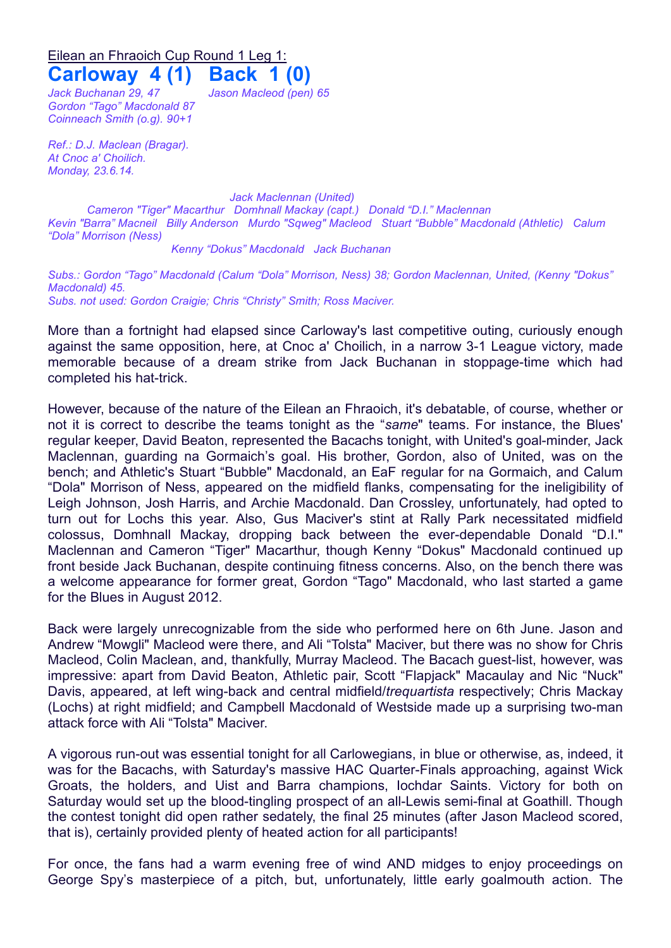## Eilean an Fhraoich Cup Round 1 Leg 1: **Carloway 4 (1) Back 1 (0)**

*Jack Buchanan 29, 47 Jason Macleod (pen) 65 Gordon "Tago" Macdonald 87 Coinneach Smith (o.g). 90+1*

*Ref.: D.J. Maclean (Bragar). At Cnoc a' Choilich. Monday, 23.6.14.*

*Jack Maclennan (United)*

*Cameron "Tiger" Macarthur Domhnall Mackay (capt.) Donald "D.I." Maclennan Kevin "Barra" Macneil Billy Anderson Murdo "Sqweg" Macleod Stuart "Bubble" Macdonald (Athletic) Calum "Dola" Morrison (Ness)*

*Kenny "Dokus" Macdonald Jack Buchanan*

*Subs.: Gordon "Tago" Macdonald (Calum "Dola" Morrison, Ness) 38; Gordon Maclennan, United, (Kenny "Dokus" Macdonald) 45. Subs. not used: Gordon Craigie; Chris "Christy" Smith; Ross Maciver.*

More than a fortnight had elapsed since Carloway's last competitive outing, curiously enough against the same opposition, here, at Cnoc a' Choilich, in a narrow 3-1 League victory, made memorable because of a dream strike from Jack Buchanan in stoppage-time which had completed his hat-trick.

However, because of the nature of the Eilean an Fhraoich, it's debatable, of course, whether or not it is correct to describe the teams tonight as the "*same*" teams. For instance, the Blues' regular keeper, David Beaton, represented the Bacachs tonight, with United's goal-minder, Jack Maclennan, guarding na Gormaich's goal. His brother, Gordon, also of United, was on the bench; and Athletic's Stuart "Bubble" Macdonald, an EaF regular for na Gormaich, and Calum "Dola" Morrison of Ness, appeared on the midfield flanks, compensating for the ineligibility of Leigh Johnson, Josh Harris, and Archie Macdonald. Dan Crossley, unfortunately, had opted to turn out for Lochs this year. Also, Gus Maciver's stint at Rally Park necessitated midfield colossus, Domhnall Mackay, dropping back between the ever-dependable Donald "D.I." Maclennan and Cameron "Tiger" Macarthur, though Kenny "Dokus" Macdonald continued up front beside Jack Buchanan, despite continuing fitness concerns. Also, on the bench there was a welcome appearance for former great, Gordon "Tago" Macdonald, who last started a game for the Blues in August 2012.

Back were largely unrecognizable from the side who performed here on 6th June. Jason and Andrew "Mowgli" Macleod were there, and Ali "Tolsta" Maciver, but there was no show for Chris Macleod, Colin Maclean, and, thankfully, Murray Macleod. The Bacach guest-list, however, was impressive: apart from David Beaton, Athletic pair, Scott "Flapjack" Macaulay and Nic "Nuck" Davis, appeared, at left wing-back and central midfield/*trequartista* respectively; Chris Mackay (Lochs) at right midfield; and Campbell Macdonald of Westside made up a surprising two-man attack force with Ali "Tolsta" Maciver.

A vigorous run-out was essential tonight for all Carlowegians, in blue or otherwise, as, indeed, it was for the Bacachs, with Saturday's massive HAC Quarter-Finals approaching, against Wick Groats, the holders, and Uist and Barra champions, Iochdar Saints. Victory for both on Saturday would set up the blood-tingling prospect of an all-Lewis semi-final at Goathill. Though the contest tonight did open rather sedately, the final 25 minutes (after Jason Macleod scored, that is), certainly provided plenty of heated action for all participants!

For once, the fans had a warm evening free of wind AND midges to enjoy proceedings on George Spy's masterpiece of a pitch, but, unfortunately, little early goalmouth action. The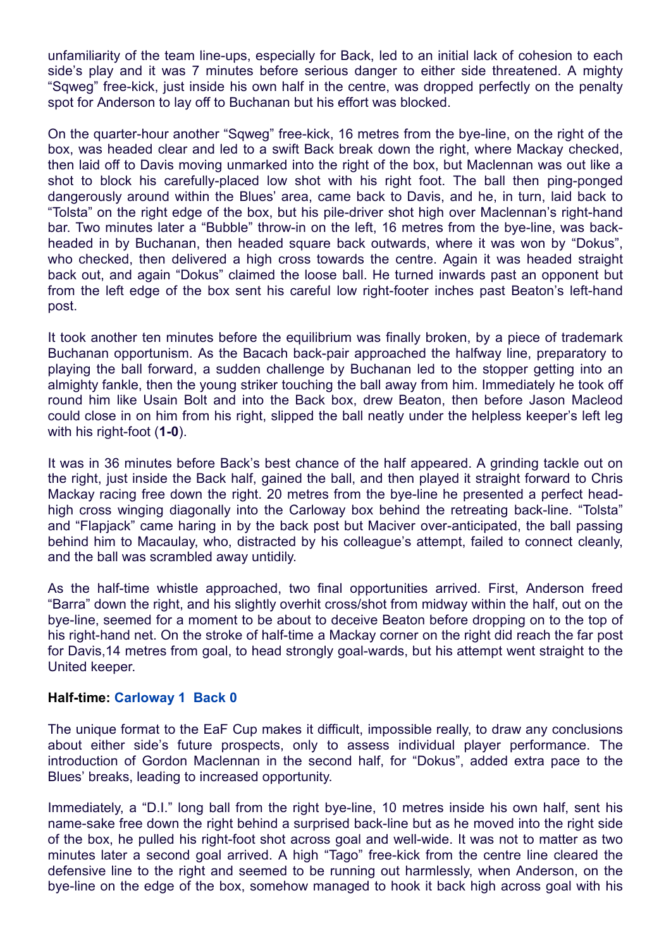unfamiliarity of the team line-ups, especially for Back, led to an initial lack of cohesion to each side's play and it was 7 minutes before serious danger to either side threatened. A mighty "Sqweg" free-kick, just inside his own half in the centre, was dropped perfectly on the penalty spot for Anderson to lay off to Buchanan but his effort was blocked.

On the quarter-hour another "Sqweg" free-kick, 16 metres from the bye-line, on the right of the box, was headed clear and led to a swift Back break down the right, where Mackay checked, then laid off to Davis moving unmarked into the right of the box, but Maclennan was out like a shot to block his carefully-placed low shot with his right foot. The ball then ping-ponged dangerously around within the Blues' area, came back to Davis, and he, in turn, laid back to "Tolsta" on the right edge of the box, but his pile-driver shot high over Maclennan's right-hand bar. Two minutes later a "Bubble" throw-in on the left, 16 metres from the bye-line, was backheaded in by Buchanan, then headed square back outwards, where it was won by "Dokus", who checked, then delivered a high cross towards the centre. Again it was headed straight back out, and again "Dokus" claimed the loose ball. He turned inwards past an opponent but from the left edge of the box sent his careful low right-footer inches past Beaton's left-hand post.

It took another ten minutes before the equilibrium was finally broken, by a piece of trademark Buchanan opportunism. As the Bacach back-pair approached the halfway line, preparatory to playing the ball forward, a sudden challenge by Buchanan led to the stopper getting into an almighty fankle, then the young striker touching the ball away from him. Immediately he took off round him like Usain Bolt and into the Back box, drew Beaton, then before Jason Macleod could close in on him from his right, slipped the ball neatly under the helpless keeper's left leg with his right-foot (**1-0**).

It was in 36 minutes before Back's best chance of the half appeared. A grinding tackle out on the right, just inside the Back half, gained the ball, and then played it straight forward to Chris Mackay racing free down the right. 20 metres from the bye-line he presented a perfect headhigh cross winging diagonally into the Carloway box behind the retreating back-line. "Tolsta" and "Flapjack" came haring in by the back post but Maciver over-anticipated, the ball passing behind him to Macaulay, who, distracted by his colleague's attempt, failed to connect cleanly, and the ball was scrambled away untidily.

As the half-time whistle approached, two final opportunities arrived. First, Anderson freed "Barra" down the right, and his slightly overhit cross/shot from midway within the half, out on the bye-line, seemed for a moment to be about to deceive Beaton before dropping on to the top of his right-hand net. On the stroke of half-time a Mackay corner on the right did reach the far post for Davis,14 metres from goal, to head strongly goal-wards, but his attempt went straight to the United keeper.

## **Half-time: Carloway 1 Back 0**

The unique format to the EaF Cup makes it difficult, impossible really, to draw any conclusions about either side's future prospects, only to assess individual player performance. The introduction of Gordon Maclennan in the second half, for "Dokus", added extra pace to the Blues' breaks, leading to increased opportunity.

Immediately, a "D.I." long ball from the right bye-line, 10 metres inside his own half, sent his name-sake free down the right behind a surprised back-line but as he moved into the right side of the box, he pulled his right-foot shot across goal and well-wide. It was not to matter as two minutes later a second goal arrived. A high "Tago" free-kick from the centre line cleared the defensive line to the right and seemed to be running out harmlessly, when Anderson, on the bye-line on the edge of the box, somehow managed to hook it back high across goal with his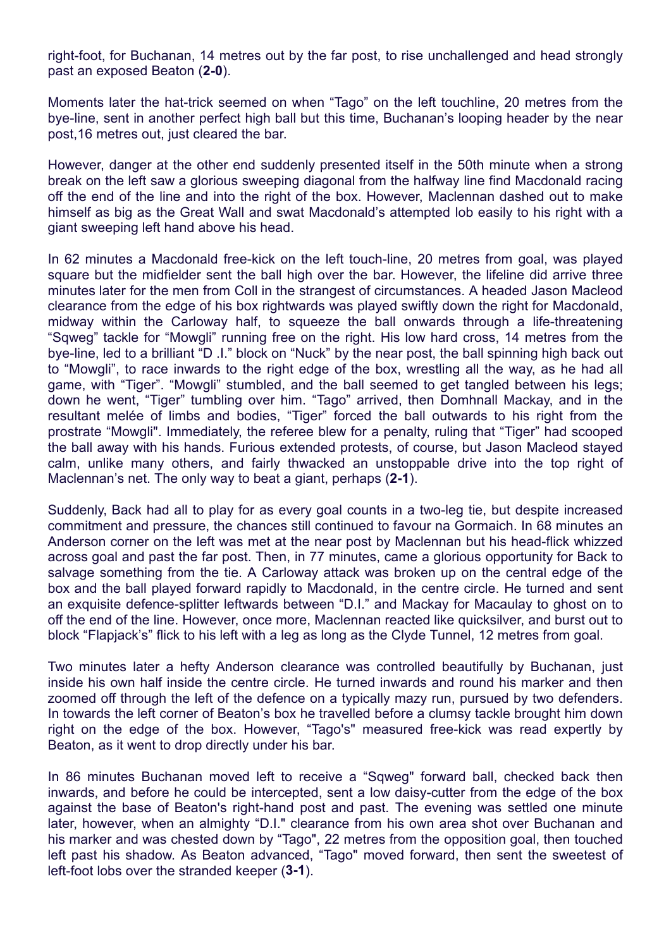right-foot, for Buchanan, 14 metres out by the far post, to rise unchallenged and head strongly past an exposed Beaton (**2-0**).

Moments later the hat-trick seemed on when "Tago" on the left touchline, 20 metres from the bye-line, sent in another perfect high ball but this time, Buchanan's looping header by the near post,16 metres out, just cleared the bar.

However, danger at the other end suddenly presented itself in the 50th minute when a strong break on the left saw a glorious sweeping diagonal from the halfway line find Macdonald racing off the end of the line and into the right of the box. However, Maclennan dashed out to make himself as big as the Great Wall and swat Macdonald's attempted lob easily to his right with a giant sweeping left hand above his head.

In 62 minutes a Macdonald free-kick on the left touch-line, 20 metres from goal, was played square but the midfielder sent the ball high over the bar. However, the lifeline did arrive three minutes later for the men from Coll in the strangest of circumstances. A headed Jason Macleod clearance from the edge of his box rightwards was played swiftly down the right for Macdonald, midway within the Carloway half, to squeeze the ball onwards through a life-threatening "Sqweg" tackle for "Mowgli" running free on the right. His low hard cross, 14 metres from the bye-line, led to a brilliant "D .I." block on "Nuck" by the near post, the ball spinning high back out to "Mowgli", to race inwards to the right edge of the box, wrestling all the way, as he had all game, with "Tiger". "Mowgli" stumbled, and the ball seemed to get tangled between his legs; down he went, "Tiger" tumbling over him. "Tago" arrived, then Domhnall Mackay, and in the resultant melée of limbs and bodies, "Tiger" forced the ball outwards to his right from the prostrate "Mowgli". Immediately, the referee blew for a penalty, ruling that "Tiger" had scooped the ball away with his hands. Furious extended protests, of course, but Jason Macleod stayed calm, unlike many others, and fairly thwacked an unstoppable drive into the top right of Maclennan's net. The only way to beat a giant, perhaps (**2-1**).

Suddenly, Back had all to play for as every goal counts in a two-leg tie, but despite increased commitment and pressure, the chances still continued to favour na Gormaich. In 68 minutes an Anderson corner on the left was met at the near post by Maclennan but his head-flick whizzed across goal and past the far post. Then, in 77 minutes, came a glorious opportunity for Back to salvage something from the tie. A Carloway attack was broken up on the central edge of the box and the ball played forward rapidly to Macdonald, in the centre circle. He turned and sent an exquisite defence-splitter leftwards between "D.I." and Mackay for Macaulay to ghost on to off the end of the line. However, once more, Maclennan reacted like quicksilver, and burst out to block "Flapjack's" flick to his left with a leg as long as the Clyde Tunnel, 12 metres from goal.

Two minutes later a hefty Anderson clearance was controlled beautifully by Buchanan, just inside his own half inside the centre circle. He turned inwards and round his marker and then zoomed off through the left of the defence on a typically mazy run, pursued by two defenders. In towards the left corner of Beaton's box he travelled before a clumsy tackle brought him down right on the edge of the box. However, "Tago's" measured free-kick was read expertly by Beaton, as it went to drop directly under his bar.

In 86 minutes Buchanan moved left to receive a "Sqweg" forward ball, checked back then inwards, and before he could be intercepted, sent a low daisy-cutter from the edge of the box against the base of Beaton's right-hand post and past. The evening was settled one minute later, however, when an almighty "D.I." clearance from his own area shot over Buchanan and his marker and was chested down by "Tago", 22 metres from the opposition goal, then touched left past his shadow. As Beaton advanced, "Tago" moved forward, then sent the sweetest of left-foot lobs over the stranded keeper (**3-1**).